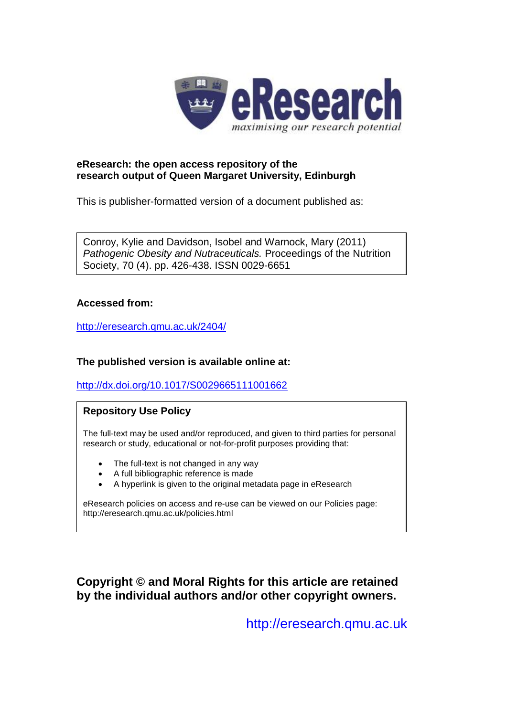

## **eResearch: the open access repository of the research output of Queen Margaret University, Edinburgh**

This is publisher-formatted version of a document published as:

Conroy, Kylie and Davidson, Isobel and Warnock, Mary (2011) *Pathogenic Obesity and Nutraceuticals.* Proceedings of the Nutrition Society, 70 (4). pp. 426-438. ISSN 0029-6651

## **Accessed from:**

<http://eresearch.qmu.ac.uk/2404/>

# **The published version is available online at:**

<http://dx.doi.org/10.1017/S0029665111001662>

## **Repository Use Policy**

The full-text may be used and/or reproduced, and given to third parties for personal research or study, educational or not-for-profit purposes providing that:

- The full-text is not changed in any way
- A full bibliographic reference is made
- A hyperlink is given to the original metadata page in eResearch

eResearch policies on access and re-use can be viewed on our Policies page: <http://eresearch.qmu.ac.uk/policies.html>

**Copyright © and Moral Rights for this article are retained by the individual authors and/or other copyright owners.**

[http://eresearch.qmu.ac.uk](http://eresearch.qmu.ac.uk/)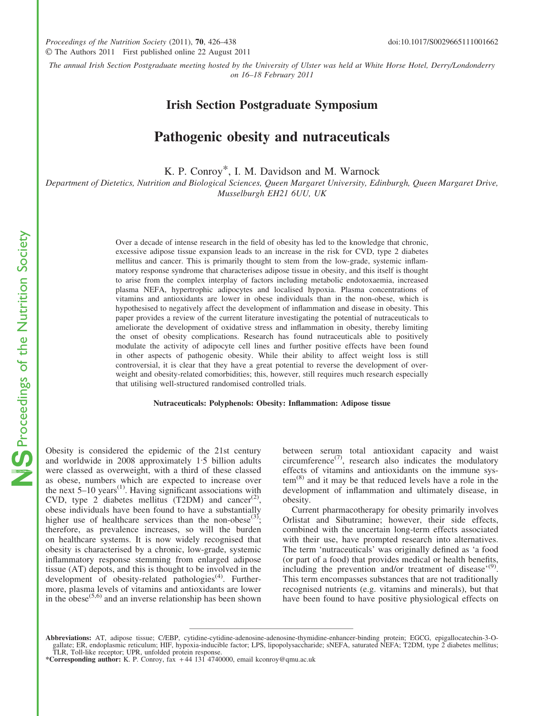Proceedings of the Nutrition Society (2011), **70**, 426–438 doi:10.1017/S0029665111001662 © The Authors 2011 First published online 22 August 2011

The annual Irish Section Postgraduate meeting hosted by the University of Ulster was held at White Horse Hotel, Derry/Londonderry on 16–18 February 2011

## Irish Section Postgraduate Symposium

## Pathogenic obesity and nutraceuticals

K. P. Conroy\*, I. M. Davidson and M. Warnock

Department of Dietetics, Nutrition and Biological Sciences, Queen Margaret University, Edinburgh, Queen Margaret Drive, Musselburgh EH21 6UU, UK

> Over a decade of intense research in the field of obesity has led to the knowledge that chronic, excessive adipose tissue expansion leads to an increase in the risk for CVD, type 2 diabetes mellitus and cancer. This is primarily thought to stem from the low-grade, systemic inflammatory response syndrome that characterises adipose tissue in obesity, and this itself is thought to arise from the complex interplay of factors including metabolic endotoxaemia, increased plasma NEFA, hypertrophic adipocytes and localised hypoxia. Plasma concentrations of vitamins and antioxidants are lower in obese individuals than in the non-obese, which is hypothesised to negatively affect the development of inflammation and disease in obesity. This paper provides a review of the current literature investigating the potential of nutraceuticals to ameliorate the development of oxidative stress and inflammation in obesity, thereby limiting the onset of obesity complications. Research has found nutraceuticals able to positively modulate the activity of adipocyte cell lines and further positive effects have been found in other aspects of pathogenic obesity. While their ability to affect weight loss is still controversial, it is clear that they have a great potential to reverse the development of overweight and obesity-related comorbidities; this, however, still requires much research especially that utilising well-structured randomised controlled trials.

### Nutraceuticals: Polyphenols: Obesity: Inflammation: Adipose tissue

Obesity is considered the epidemic of the 21st century and worldwide in 2008 approximately 1. 5 billion adults were classed as overweight, with a third of these classed as obese, numbers which are expected to increase over the next  $5-10$  years<sup>(1)</sup>. Having significant associations with CVD, type 2 diabetes mellitus (T2DM) and cancer<sup>(2)</sup>, obese individuals have been found to have a substantially higher use of healthcare services than the non-obese<sup>(3)</sup>; therefore, as prevalence increases, so will the burden on healthcare systems. It is now widely recognised that obesity is characterised by a chronic, low-grade, systemic inflammatory response stemming from enlarged adipose tissue (AT) depots, and this is thought to be involved in the development of obesity-related pathologies<sup>(4)</sup>. Furthermore, plasma levels of vitamins and antioxidants are lower in the obese<sup> $(5,6)$ </sup> and an inverse relationship has been shown

between serum total antioxidant capacity and waist circumference $^{(7)}$ , research also indicates the modulatory effects of vitamins and antioxidants on the immune sys $tem<sup>(8)</sup>$  and it may be that reduced levels have a role in the development of inflammation and ultimately disease, in obesity.

Current pharmacotherapy for obesity primarily involves Orlistat and Sibutramine; however, their side effects, combined with the uncertain long-term effects associated with their use, have prompted research into alternatives. The term 'nutraceuticals' was originally defined as 'a food (or part of a food) that provides medical or health benefits, including the prevention and/or treatment of disease<sup> $(9)$ </sup>. This term encompasses substances that are not traditionally recognised nutrients (e.g. vitamins and minerals), but that have been found to have positive physiological effects on

Abbreviations: AT, adipose tissue; C/EBP, cytidine-cytidine-adenosine-adenosine-thymidine-enhancer-binding protein; EGCG, epigallocatechin-3-O-<br>gallate; ER, endoplasmic reticulum; HIF, hypoxia-inducible factor; LPS, lipopo

<sup>\*</sup>Corresponding author: K. P. Conroy, fax + 44 131 4740000, email kconroy@qmu.ac.uk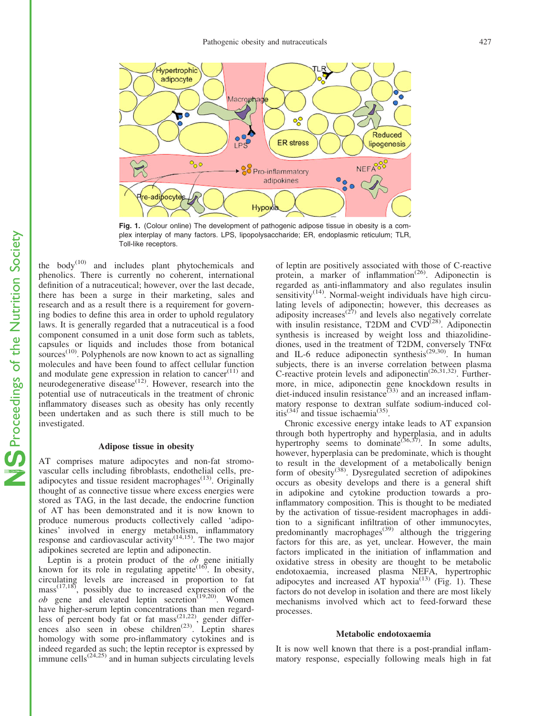

Fig. 1. (Colour online) The development of pathogenic adipose tissue in obesity is a complex interplay of many factors. LPS, lipopolysaccharide; ER, endoplasmic reticulum; TLR, Toll-like receptors.

the body<sup> $(10)$ </sup> and includes plant phytochemicals and phenolics. There is currently no coherent, international definition of a nutraceutical; however, over the last decade, there has been a surge in their marketing, sales and research and as a result there is a requirement for governing bodies to define this area in order to uphold regulatory laws. It is generally regarded that a nutraceutical is a food component consumed in a unit dose form such as tablets, capsules or liquids and includes those from botanical sources<sup> $(10)$ </sup>. Polyphenols are now known to act as signalling molecules and have been found to affect cellular function and modulate gene expression in relation to cancer $(11)$  and neurodegenerative disease<sup> $(12)$ </sup>. However, research into the potential use of nutraceuticals in the treatment of chronic inflammatory diseases such as obesity has only recently been undertaken and as such there is still much to be investigated.

## Adipose tissue in obesity

AT comprises mature adipocytes and non-fat stromovascular cells including fibroblasts, endothelial cells, preadipocytes and tissue resident macrophages $(13)$ . Originally thought of as connective tissue where excess energies were stored as TAG, in the last decade, the endocrine function of AT has been demonstrated and it is now known to produce numerous products collectively called 'adipokines' involved in energy metabolism, inflammatory response and cardiovascular activity<sup> $(14,15)$ </sup>. The two major adipokines secreted are leptin and adiponectin.

Leptin is a protein product of the *ob* gene initially known for its role in regulating appetite<sup>(16)</sup>. In obesity, circulating levels are increased in proportion to fat  $mass<sup>(17,18)</sup>$ , possibly due to increased expression of the  $ob$  gene and elevated leptin secretion<sup> $(19,20)$ </sup>. Women have higher-serum leptin concentrations than men regardless of percent body fat or fat mass<sup>(21,22)</sup>, gender differences also seen in obese children<sup> $(23)$ </sup>. Leptin shares homology with some pro-inflammatory cytokines and is indeed regarded as such; the leptin receptor is expressed by immune cells<sup> $(24,25)$ </sup> and in human subjects circulating levels

of leptin are positively associated with those of C-reactive protein, a marker of inflammation<sup> $(26)$ </sup>. Adiponectin is regarded as anti-inflammatory and also regulates insulin sensitivity<sup>(14)</sup>. Normal-weight individuals have high circulating levels of adiponectin; however, this decreases as adiposity increases<sup> $(27)$ </sup> and levels also negatively correlate with insulin resistance, T2DM and  $CVD^{(28)}$ . Adiponectin synthesis is increased by weight loss and thiazolidinediones, used in the treatment of T2DM, conversely TNFa and IL-6 reduce adiponectin synthesis<sup> $(29,30)$ </sup>. In human subjects, there is an inverse correlation between plasma C-reactive protein levels and adiponectin<sup> $(26,31,32)$ </sup>. Furthermore, in mice, adiponectin gene knockdown results in  $\frac{1}{\text{det}-\text{induced}}$  insulin resistance<sup>(33)</sup> and an increased inflammatory response to dextran sulfate sodium-induced colitis<sup>(34)</sup> and tissue ischaemia<sup>(35)</sup>.

Chronic excessive energy intake leads to AT expansion through both hypertrophy and hyperplasia, and in adults hypertrophy seems to dominate  $(36,37)$ . In some adults, however, hyperplasia can be predominate, which is thought to result in the development of a metabolically benign form of obesity $^{(38)}$ . Dysregulated secretion of adipokines occurs as obesity develops and there is a general shift in adipokine and cytokine production towards a proinflammatory composition. This is thought to be mediated by the activation of tissue-resident macrophages in addition to a significant infiltration of other immunocytes, predominantly macrophages<sup> $(39)$ </sup> although the triggering factors for this are, as yet, unclear. However, the main factors implicated in the initiation of inflammation and oxidative stress in obesity are thought to be metabolic endotoxaemia, increased plasma NEFA, hypertrophic adipocytes and increased  $AT$  hypoxia<sup>(13)</sup> (Fig. 1). These factors do not develop in isolation and there are most likely mechanisms involved which act to feed-forward these processes.

#### Metabolic endotoxaemia

It is now well known that there is a post-prandial inflammatory response, especially following meals high in fat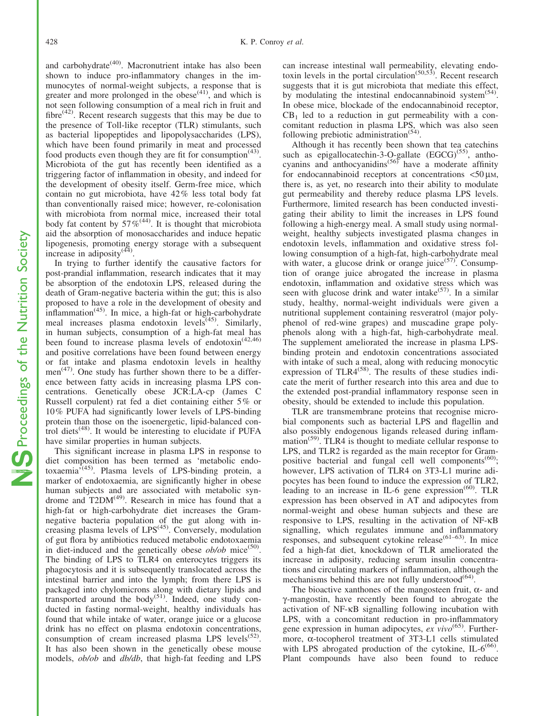and carbohydrate $(40)$ . Macronutrient intake has also been shown to induce pro-inflammatory changes in the immunocytes of normal-weight subjects, a response that is greater and more prolonged in the obese<sup> $(41)$ </sup>, and which is not seen following consumption of a meal rich in fruit and fibre $(42)$ . Recent research suggests that this may be due to the presence of Toll-like receptor (TLR) stimulants, such as bacterial lipopeptides and lipopolysaccharides (LPS), which have been found primarily in meat and processed food products even though they are fit for consumption<sup> $(43)$ </sup>. Microbiota of the gut has recently been identified as a triggering factor of inflammation in obesity, and indeed for the development of obesity itself. Germ-free mice, which contain no gut microbiota, have 42% less total body fat than conventionally raised mice; however, re-colonisation with microbiota from normal mice, increased their total body fat content by  $57\%^{(44)}$ . It is thought that microbiota aid the absorption of monosaccharides and induce hepatic lipogenesis, promoting energy storage with a subsequent increase in adiposity $(44)$ .

In trying to further identify the causative factors for post-prandial inflammation, research indicates that it may be absorption of the endotoxin LPS, released during the death of Gram-negative bacteria within the gut; this is also proposed to have a role in the development of obesity and inflammation<sup> $(45)$ </sup>. In mice, a high-fat or high-carbohydrate meal increases plasma endotoxin levels<sup>(45)</sup>. Similarly, in human subjects, consumption of a high-fat meal has been found to increase plasma levels of endotoxin<sup> $(42,46)$ </sup> and positive correlations have been found between energy or fat intake and plasma endotoxin levels in healthy men<sup> $(47)$ </sup>. One study has further shown there to be a difference between fatty acids in increasing plasma LPS concentrations. Genetically obese JCR:LA-cp (James C Russell corpulent) rat fed a diet containing either 5% or 10% PUFA had significantly lower levels of LPS-binding protein than those on the isoenergetic, lipid-balanced control diets(48). It would be interesting to elucidate if PUFA have similar properties in human subjects.

This significant increase in plasma LPS in response to diet composition has been termed as 'metabolic endotoxaemia<sup> $(45)$ </sup>. Plasma levels of LPS-binding protein, a marker of endotoxaemia, are significantly higher in obese human subjects and are associated with metabolic syndrome and T2DM<sup>(49)</sup>. Research in mice has found that a high-fat or high-carbohydrate diet increases the Gramnegative bacteria population of the gut along with increasing plasma levels of LPS<sup>(45)</sup>. Conversely, modulation of gut flora by antibiotics reduced metabolic endotoxaemia in diet-induced and the genetically obese  $ob/ob$  mice<sup>(50)</sup>. The binding of LPS to TLR4 on enterocytes triggers its phagocytosis and it is subsequently translocated across the intestinal barrier and into the lymph; from there LPS is packaged into chylomicrons along with dietary lipids and transported around the body<sup> $(51)$ </sup>. Indeed, one study conducted in fasting normal-weight, healthy individuals has found that while intake of water, orange juice or a glucose drink has no effect on plasma endotoxin concentrations, consumption of cream increased plasma LPS levels<sup>(52)</sup>. It has also been shown in the genetically obese mouse models, ob/ob and db/db, that high-fat feeding and LPS

can increase intestinal wall permeability, elevating endotoxin levels in the portal circulation<sup> $(50,53)$ </sup>. Recent research suggests that it is gut microbiota that mediate this effect, by modulating the intestinal endocannabinoid system<sup>(5)</sup>. In obese mice, blockade of the endocannabinoid receptor,  $CB<sub>1</sub>$  led to a reduction in gut permeability with a concomitant reduction in plasma LPS, which was also seen following prebiotic administration<sup> $(54)$ </sup>.

Although it has recently been shown that tea catechins such as epigallocatechin-3-O-gallate  $(EGCG)^{(55)}$ , anthocyanins and anthocyanidins<sup> $(56)$ </sup> have a moderate affinity for endocannabinoid receptors at concentrations  $\langle 50 \text{ uM} \rangle$ , there is, as yet, no research into their ability to modulate gut permeability and thereby reduce plasma LPS levels. Furthermore, limited research has been conducted investigating their ability to limit the increases in LPS found following a high-energy meal. A small study using normalweight, healthy subjects investigated plasma changes in endotoxin levels, inflammation and oxidative stress following consumption of a high-fat, high-carbohydrate meal with water, a glucose drink or orange juice $(57)$ . Consumption of orange juice abrogated the increase in plasma endotoxin, inflammation and oxidative stress which was seen with glucose drink and water intake<sup> $(57)$ </sup>. In a similar study, healthy, normal-weight individuals were given a nutritional supplement containing resveratrol (major polyphenol of red-wine grapes) and muscadine grape polyphenols along with a high-fat, high-carbohydrate meal. The supplement ameliorated the increase in plasma LPSbinding protein and endotoxin concentrations associated with intake of such a meal, along with reducing monocytic expression of  $TLR4<sup>(58)</sup>$ . The results of these studies indicate the merit of further research into this area and due to the extended post-prandial inflammatory response seen in obesity, should be extended to include this population.

TLR are transmembrane proteins that recognise microbial components such as bacterial LPS and flagellin and also possibly endogenous ligands released during inflammation<sup> $(59)$ </sup>. TLR4 is thought to mediate cellular response to LPS, and TLR2 is regarded as the main receptor for Grampositive bacterial and fungal cell well components<sup> $(60)$ </sup>; however, LPS activation of TLR4 on 3T3-L1 murine adipocytes has been found to induce the expression of TLR2, leading to an increase in IL-6 gene  $\exp$ expression<sup>(60)</sup>. TLR expression has been observed in AT and adipocytes from normal-weight and obese human subjects and these are responsive to LPS, resulting in the activation of NF-kB signalling, which regulates immune and inflammatory responses, and subsequent cytokine release<sup>(61–63)</sup>. In mice fed a high-fat diet, knockdown of TLR ameliorated the increase in adiposity, reducing serum insulin concentrations and circulating markers of inflammation, although the mechanisms behind this are not fully understood $^{(64)}$ .

The bioactive xanthones of the mangosteen fruit,  $\alpha$ - and g-mangostin, have recently been found to abrogate the activation of NF-kB signalling following incubation with LPS, with a concomitant reduction in pro-inflammatory gene expression in human adipocytes,  $ex$  vivo<sup>(65)</sup>. Furthermore, a-tocopherol treatment of 3T3-L1 cells stimulated with LPS abrogated production of the cytokine,  $IL-6^{(66)}$ . Plant compounds have also been found to reduce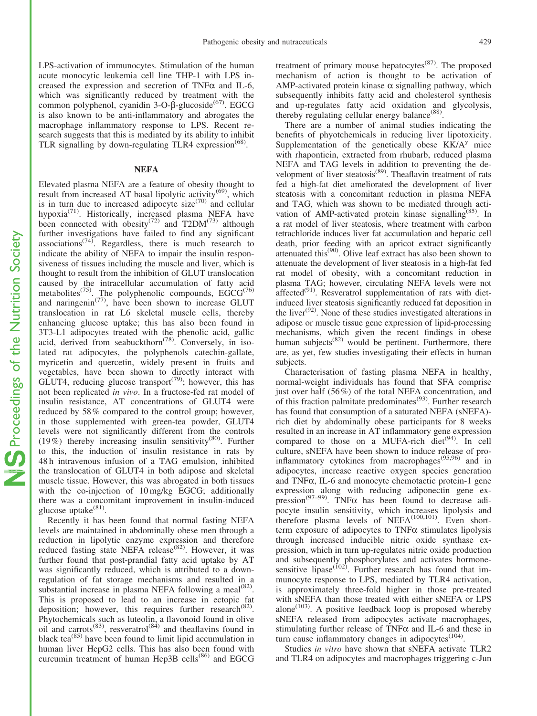LPS-activation of immunocytes. Stimulation of the human acute monocytic leukemia cell line THP-1 with LPS increased the expression and secretion of TNF $\alpha$  and IL-6, which was significantly reduced by treatment with the common polyphenol, cyanidin 3-O-β-glucoside<sup>(67)</sup>. EGCG is also known to be anti-inflammatory and abrogates the macrophage inflammatory response to LPS. Recent research suggests that this is mediated by its ability to inhibit TLR signalling by down-regulating TLR4 expression<sup> $(68)$ </sup>.

## **NEFA**

Elevated plasma NEFA are a feature of obesity thought to result from increased AT basal lipolytic activity<sup>(69)</sup>, which is in turn due to increased adipocyte size $(70)$  and cellular hypoxia<sup>(71)</sup>. Historically, increased plasma NEFA have been connected with obesity<sup>(72)</sup> and  $T2DM^{(73)}$  although further investigations have failed to find any significant associations<sup> $(74)$ </sup>. Regardless, there is much research to indicate the ability of NEFA to impair the insulin responsiveness of tissues including the muscle and liver, which is thought to result from the inhibition of GLUT translocation caused by the intracellular accumulation of fatty acid metabolites<sup>(75)</sup>. The polyphenolic compounds,  $EGCG^{(76)}$ and naringenin<sup> $(77)$ </sup>, have been shown to increase GLUT translocation in rat L6 skeletal muscle cells, thereby enhancing glucose uptake; this has also been found in 3T3-L1 adipocytes treated with the phenolic acid, gallic acid, derived from seabuckthorn<sup> $(78)$ </sup>. Conversely, in isolated rat adipocytes, the polyphenols catechin-gallate, myricetin and quercetin, widely present in fruits and vegetables, have been shown to directly interact with vegetables, have been shown to directly means with GLUT4, reducing glucose transport<sup>(79)</sup>; however, this has not been replicated in vivo. In a fructose-fed rat model of insulin resistance, AT concentrations of GLUT4 were reduced by 58% compared to the control group; however, in those supplemented with green-tea powder, GLUT4 levels were not significantly different from the controls (19%) thereby increasing insulin sensitivity<sup>(80)</sup>. Further to this, the induction of insulin resistance in rats by 48 h intravenous infusion of a TAG emulsion, inhibited the translocation of GLUT4 in both adipose and skeletal muscle tissue. However, this was abrogated in both tissues with the co-injection of 10 mg/kg EGCG; additionally there was a concomitant improvement in insulin-induced glucose uptake<sup>(81)</sup>.

Recently it has been found that normal fasting NEFA levels are maintained in abdominally obese men through a reduction in lipolytic enzyme expression and therefore reduced fasting state NEFA release<sup>(82)</sup>. However, it was further found that post-prandial fatty acid uptake by AT was significantly reduced, which is attributed to a downregulation of fat storage mechanisms and resulted in a substantial increase in plasma NEFA following a meal<sup>(82)</sup>. This is proposed to lead to an increase in ectopic fat deposition; however, this requires further research<sup>(82)</sup>. Phytochemicals such as luteolin, a flavonoid found in olive oil and carrots<sup>(83)</sup>, resveratrol<sup>(84)</sup> and theaflavins found in black tea<sup>(85)</sup> have been found to limit lipid accumulation in human liver HepG2 cells. This has also been found with curcumin treatment of human Hep3B cells<sup>(86)</sup> and EGCG

treatment of primary mouse hepatocytes<sup> $(87)$ </sup>. The proposed mechanism of action is thought to be activation of AMP-activated protein kinase  $\alpha$  signalling pathway, which subsequently inhibits fatty acid and cholesterol synthesis and up-regulates fatty acid oxidation and glycolysis, thereby regulating cellular energy balance<sup> $(88)$ </sup>.

There are a number of animal studies indicating the benefits of phyotchemicals in reducing liver lipotoxicity. Supplementation of the genetically obese  $KK/A<sup>y</sup>$  mice with rhaponticin, extracted from rhubarb, reduced plasma NEFA and TAG levels in addition to preventing the development of liver steatosis<sup>(89)</sup>. Theaflavin treatment of rats fed a high-fat diet ameliorated the development of liver steatosis with a concomitant reduction in plasma NEFA and TAG, which was shown to be mediated through activation of AMP-activated protein kinase signalling<sup> $(85)$ </sup>. In a rat model of liver steatosis, where treatment with carbon tetrachloride induces liver fat accumulation and hepatic cell death, prior feeding with an apricot extract significantly attenuated this(90). Olive leaf extract has also been shown to attenuate the development of liver steatosis in a high-fat fed rat model of obesity, with a concomitant reduction in plasma TAG; however, circulating NEFA levels were not affected<sup>(91)</sup>. Resveratrol supplementation of rats with dietinduced liver steatosis significantly reduced fat deposition in the liver(92). None of these studies investigated alterations in adipose or muscle tissue gene expression of lipid-processing mechanisms, which given the recent findings in obese human subjects<sup> $(82)$ </sup> would be pertinent. Furthermore, there are, as yet, few studies investigating their effects in human subjects.

Characterisation of fasting plasma NEFA in healthy, normal-weight individuals has found that SFA comprise just over half (56%) of the total NEFA concentration, and of this fraction palmitate predominates<sup>(93)</sup>. Further research has found that consumption of a saturated NEFA (sNEFA) rich diet by abdominally obese participants for 8 weeks resulted in an increase in AT inflammatory gene expression compared to those on a MUFA-rich diet<sup> $(94)$ </sup>. In cell culture, sNEFA have been shown to induce release of proinflammatory cytokines from macrophages<sup>(95,96)</sup> and in adipocytes, increase reactive oxygen species generation and TNFa, IL-6 and monocyte chemotactic protein-1 gene expression along with reducing adiponectin gene expression<sup>(97–99)</sup>. TNF $\alpha$  has been found to decrease adipocyte insulin sensitivity, which increases lipolysis and therefore plasma levels of  $NERA^{(100,101)}$ . Even shortterm exposure of adipocytes to  $TNF\alpha$  stimulates lipolysis through increased inducible nitric oxide synthase expression, which in turn up-regulates nitric oxide production and subsequently phosphorylates and activates hormonesensitive lipase<sup>(102)</sup>. Further research has found that immunocyte response to LPS, mediated by TLR4 activation, is approximately three-fold higher in those pre-treated with sNEFA than those treated with either sNEFA or LPS alone<sup> $(103)$ </sup>. A positive feedback loop is proposed whereby sNEFA released from adipocytes activate macrophages, stimulating further release of TNF $\alpha$  and IL-6 and these in turn cause inflammatory changes in adipocytes $(104)$ 

Studies in vitro have shown that sNEFA activate TLR2 and TLR4 on adipocytes and macrophages triggering c-Jun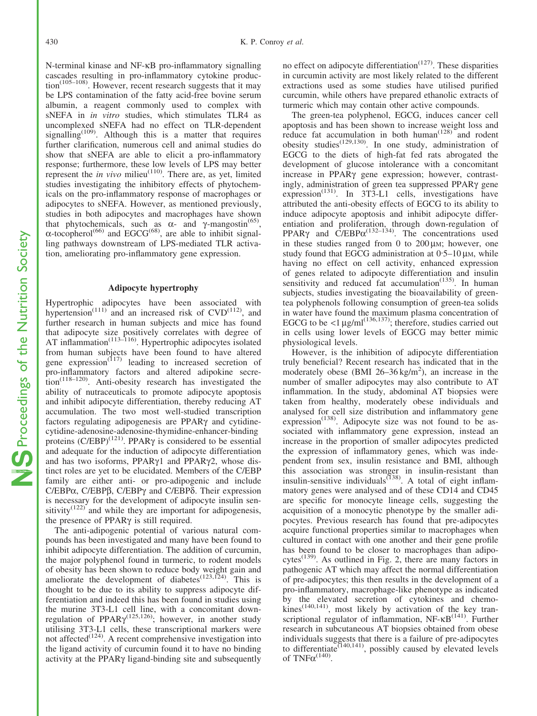N-terminal kinase and NF-kB pro-inflammatory signalling cascades resulting in pro-inflammatory cytokine produc- $\frac{105-108}{9}$ . However, recent research suggests that it may be LPS contamination of the fatty acid-free bovine serum albumin, a reagent commonly used to complex with sNEFA in in vitro studies, which stimulates TLR4 as uncomplexed sNEFA had no effect on TLR-dependent signalling<sup> $(109)$ </sup>. Although this is a matter that requires further clarification, numerous cell and animal studies do show that sNEFA are able to elicit a pro-inflammatory response; furthermore, these low levels of LPS may better response, furthermore, these four factors of  $\Xi$  and  $\Xi$  and  $\Xi$  represent the *in vivo* milieu<sup>(110)</sup>. There are, as yet, limited studies investigating the inhibitory effects of phytochemicals on the pro-inflammatory response of macrophages or adipocytes to sNEFA. However, as mentioned previously, studies in both adipocytes and macrophages have shown that phytochemicals, such as  $\alpha$ - and  $\gamma$ -mangostin<sup>(65)</sup>,  $\alpha$ -tocopherol<sup>(66)</sup> and EGCG<sup>(68)</sup>, are able to inhibit signalling pathways downstream of LPS-mediated TLR activation, ameliorating pro-inflammatory gene expression.

### Adipocyte hypertrophy

Hypertrophic adipocytes have been associated with hypertension<sup>(111)</sup> and an increased risk of  $CVD$ <sup>(112)</sup>, and further research in human subjects and mice has found that adipocyte size positively correlates with degree of AT inflammation<sup>(113-116)</sup>. Hypertrophic adipocytes isolated from human subjects have been found to have altered gene expression<sup>(117)</sup> leading to increased secretion of pro-inflammatory factors and altered adipokine secretion(118–120). Anti-obesity research has investigated the ability of nutraceuticals to promote adipocyte apoptosis and inhibit adipocyte differentiation, thereby reducing AT accumulation. The two most well-studied transcription factors regulating adipogenesis are PPARg and cytidinecytidine-adenosine-adenosine-thymidine-enhancer-binding proteins  $(C/EBP)^{(121)}$ . PPAR $\gamma$  is considered to be essential and adequate for the induction of adipocyte differentiation and has two isoforms,  $PPAR\gamma1$  and  $PPAR\gamma2$ , whose distinct roles are yet to be elucidated. Members of the C/EBP family are either anti- or pro-adipogenic and include C/EBPα, C/EBPβ, C/EBPγ and C/EBPδ. Their expression is necessary for the development of adipocyte insulin sensitivity<sup> $(122)$ </sup> and while they are important for adipogenesis. the presence of  $PPAR\gamma$  is still required.

The anti-adipogenic potential of various natural compounds has been investigated and many have been found to inhibit adipocyte differentiation. The addition of curcumin, the major polyphenol found in turmeric, to rodent models of obesity has been shown to reduce body weight gain and ameliorate the development of diabetes<sup> $(123,124)$ </sup>. This is thought to be due to its ability to suppress adipocyte differentiation and indeed this has been found in studies using the murine 3T3-L1 cell line, with a concomitant downregulation of PPAR $\gamma^{(125,126)}$ ; however, in another study utilising 3T3-L1 cells, these transcriptional markers were not affected<sup> $(124)$ </sup>. A recent comprehensive investigation into the ligand activity of curcumin found it to have no binding activity at the PPAR $\gamma$  ligand-binding site and subsequently

no effect on adipocyte differentiation<sup> $(127)$ </sup>. These disparities in curcumin activity are most likely related to the different extractions used as some studies have utilised purified curcumin, while others have prepared ethanolic extracts of turmeric which may contain other active compounds.

The green-tea polyphenol, EGCG, induces cancer cell apoptosis and has been shown to increase weight loss and reduce fat accumulation in both human $(128)$  and rodent obesity studies<sup>(129,130)</sup>. In one study, administration of EGCG to the diets of high-fat fed rats abrogated the development of glucose intolerance with a concomitant increase in PPARg gene expression; however, contrastingly, administration of green tea suppressed PPAR $\gamma$  gene expression<sup> $(131)$ </sup>. In 3T3-L1 cells, investigations have attributed the anti-obesity effects of EGCG to its ability to induce adipocyte apoptosis and inhibit adipocyte differentiation and proliferation, through down-regulation of PPAR $\gamma$  and  $C/EBP\alpha$ <sup>(132–134)</sup>. The concentrations used in these studies ranged from 0 to  $200 \mu$ M; however, one study found that EGCG administration at  $0.5-10 \,\mu$ M, while having no effect on cell activity, enhanced expression of genes related to adipocyte differentiation and insulin sensitivity and reduced fat accumulation<sup> $(135)$ </sup>. In human subjects, studies investigating the bioavailability of greentea polyphenols following consumption of green-tea solids in water have found the maximum plasma concentration of EGCG to be <1  $\mu$ g/ml<sup>(136,137)</sup>; therefore, studies carried out in cells using lower levels of EGCG may better mimic physiological levels.

However, is the inhibition of adipocyte differentiation truly beneficial? Recent research has indicated that in the moderately obese (BMI  $26-36$  kg/m<sup>2</sup>), an increase in the number of smaller adipocytes may also contribute to AT inflammation. In the study, abdominal AT biopsies were taken from healthy, moderately obese individuals and analysed for cell size distribution and inflammatory gene expression<sup>(138)</sup>. Adipocyte size was not found to be associated with inflammatory gene expression, instead an increase in the proportion of smaller adipocytes predicted the expression of inflammatory genes, which was independent from sex, insulin resistance and BMI, although this association was stronger in insulin-resistant than insulin-sensitive individuals<sup> $(138)$ </sup>. A total of eight inflammatory genes were analysed and of these CD14 and CD45 are specific for monocyte lineage cells, suggesting the acquisition of a monocytic phenotype by the smaller adipocytes. Previous research has found that pre-adipocytes acquire functional properties similar to macrophages when cultured in contact with one another and their gene profile has been found to be closer to macrophages than adipo $c\nu$ tes<sup> $(139)$ </sup>. As outlined in Fig. 2, there are many factors in pathogenic AT which may affect the normal differentiation of pre-adipocytes; this then results in the development of a pro-inflammatory, macrophage-like phenotype as indicated by the elevated secretion of cytokines and chemo $kines^{(140,141)}$ , most likely by activation of the key transcriptional regulator of inflammation, NF-KB<sup>(141)</sup>. Further research in subcutaneous AT biopsies obtained from obese individuals suggests that there is a failure of pre-adipocytes to differentiate  $(140,141)$ , possibly caused by elevated levels of  $TNF\alpha^{(140)}$ .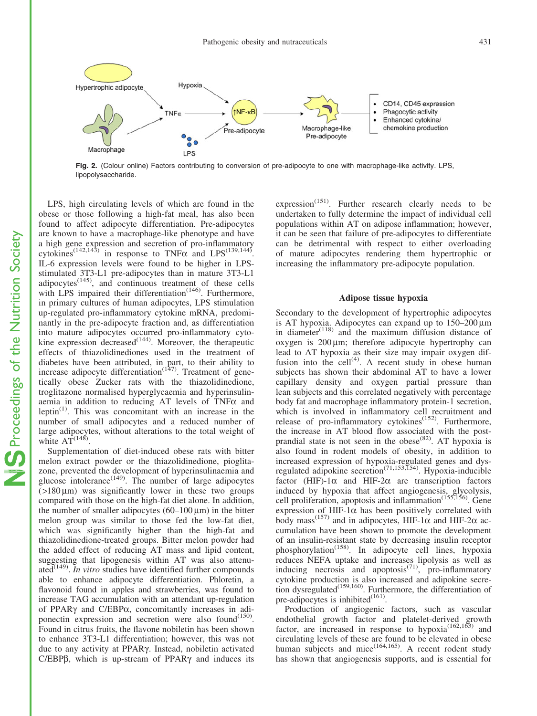

Fig. 2. (Colour online) Factors contributing to conversion of pre-adipocyte to one with macrophage-like activity. LPS, lipopolysaccharide.

LPS, high circulating levels of which are found in the obese or those following a high-fat meal, has also been found to affect adipocyte differentiation. Pre-adipocytes are known to have a macrophage-like phenotype and have a high gene expression and secretion of pro-inflammatory cytokines<sup>(142,143)</sup> in response to TNF $\alpha$  and LPS<sup>(139,144)</sup>. IL-6 expression levels were found to be higher in LPSstimulated 3T3-L1 pre-adipocytes than in mature 3T3-L1 adipocytes $(145)$ , and continuous treatment of these cells with LPS impaired their differentiation<sup> $(146)$ </sup>. Furthermore, in primary cultures of human adipocytes, LPS stimulation up-regulated pro-inflammatory cytokine mRNA, predominantly in the pre-adipocyte fraction and, as differentiation into mature adipocytes occurred pro-inflammatory cytokine expression decreased<sup> $(144)$ </sup>. Moreover, the therapeutic effects of thiazolidinediones used in the treatment of diabetes have been attributed, in part, to their ability to increase adipocyte differentiation<sup> $(147)$ </sup>. Treatment of genetically obese Zucker rats with the thiazolidinedione, troglitazone normalised hyperglycaemia and hyperinsulinaemia in addition to reducing AT levels of  $TNF\alpha$  and leptin $(1)$ . This was concomitant with an increase in the number of small adipocytes and a reduced number of large adipocytes, without alterations to the total weight of white  $AT^{(148)}$ .

Supplementation of diet-induced obese rats with bitter melon extract powder or the thiazolidinedione, pioglitazone, prevented the development of hyperinsulinaemia and glucose intolerance<sup> $(149)$ </sup>. The number of large adipocytes  $(>180 \,\mu m)$  was significantly lower in these two groups compared with those on the high-fat diet alone. In addition, the number of smaller adipocytes  $(60-100 \text{ µm})$  in the bitter melon group was similar to those fed the low-fat diet, which was significantly higher than the high-fat and thiazolidinedione-treated groups. Bitter melon powder had the added effect of reducing AT mass and lipid content, suggesting that lipogenesis within AT was also attenuated<sup> $(149)$ </sup>. In vitro studies have identified further compounds able to enhance adipocyte differentiation. Phloretin, a flavonoid found in apples and strawberries, was found to increase TAG accumulation with an attendant up-regulation of PPARg and C/EBPa, concomitantly increases in adiponectin expression and secretion were also found<sup> $(150)$ </sup>. Found in citrus fruits, the flavone nobiletin has been shown to enhance 3T3-L1 differentiation; however, this was not due to any activity at PPARg. Instead, nobiletin activated C/EBP $\beta$ , which is up-stream of PPAR $\gamma$  and induces its

expression<sup> $(151)$ </sup>. Further research clearly needs to be undertaken to fully determine the impact of individual cell populations within AT on adipose inflammation; however, it can be seen that failure of pre-adipocytes to differentiate can be detrimental with respect to either overloading of mature adipocytes rendering them hypertrophic or increasing the inflammatory pre-adipocyte population.

## Adipose tissue hypoxia

Secondary to the development of hypertrophic adipocytes is AT hypoxia. Adipocytes can expand up to  $150-200 \,\text{\mu m}$ in diameter $(118)$  and the maximum diffusion distance of oxygen is  $200 \mu m$ ; therefore adipocyte hypertrophy can lead to AT hypoxia as their size may impair oxygen diffusion into the cell $(4)$ . A recent study in obese human subjects has shown their abdominal AT to have a lower capillary density and oxygen partial pressure than lean subjects and this correlated negatively with percentage body fat and macrophage inflammatory protein-1 secretion, which is involved in inflammatory cell recruitment and release of pro-inflammatory cytokines<sup>(152)</sup>. Furthermore, the increase in AT blood flow associated with the postprandial state is not seen in the obese<sup>(82)</sup>. AT hypoxia is also found in rodent models of obesity, in addition to increased expression of hypoxia-regulated genes and dysregulated adipokine secretion<sup>(71,153,T54)</sup>. Hypoxia-inducible factor (HIF)-1 $\alpha$  and HIF-2 $\alpha$  are transcription factors induced by hypoxia that affect angiogenesis, glycolysis, cell proliferation, apoptosis and inflammation<sup>(155,156)</sup>. Gene expression of HIF-1 $\alpha$  has been positively correlated with body mass<sup>(157)</sup> and in adipocytes, HIF-1 $\alpha$  and HIF-2 $\alpha$  accumulation have been shown to promote the development of an insulin-resistant state by decreasing insulin receptor phosphorylation<sup>(158)</sup>. In adipocyte cell lines, hypoxia reduces NEFA uptake and increases lipolysis as well as inducing necrosis and apoptosis<sup> $(71)$ </sup>, pro-inflammatory cytokine production is also increased and adipokine secretion dysregulated<sup>(159,160)</sup>. Furthermore, the differentiation of pre-adipocytes is inhibited<sup>(161)</sup>.

Production of angiogenic factors, such as vascular endothelial growth factor and platelet-derived growth factor, are increased in response to hypoxia<sup>(162,163)</sup> and circulating levels of these are found to be elevated in obese human subjects and mice $(164,165)$ . A recent rodent study has shown that angiogenesis supports, and is essential for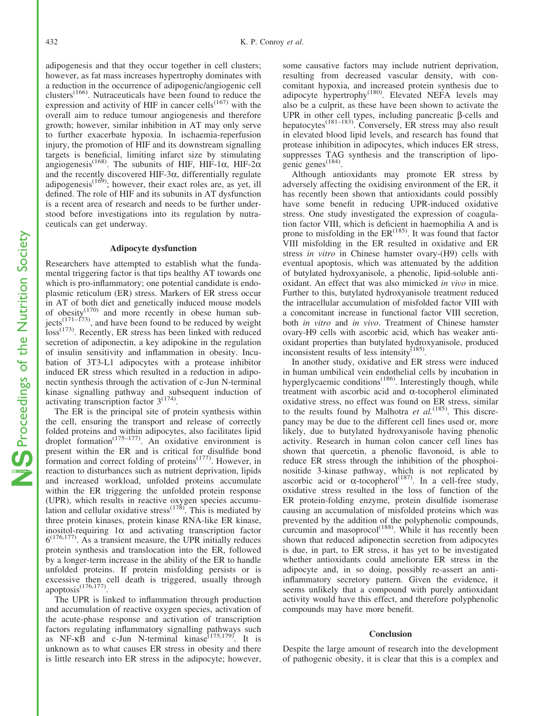Proceedings of the Nutrition Society

NS Proceedings of the Nutrition Society

adipogenesis and that they occur together in cell clusters; however, as fat mass increases hypertrophy dominates with a reduction in the occurrence of adipogenic/angiogenic cell  $\text{clusters}^{(166)}$ . Nutraceuticals have been found to reduce the expression and activity of HIF in cancer cells $^{(167)}$  with the overall aim to reduce tumour angiogenesis and therefore growth; however, similar inhibition in AT may only serve to further exacerbate hypoxia. In ischaemia-reperfusion injury, the promotion of HIF and its downstream signalling targets is beneficial, limiting infarct size by stimulating angiogenesis<sup>(168)</sup>. The subunits of HIF, HIF-1 $\alpha$ , HIF-2 $\alpha$ and the recently discovered HIF-3 $\alpha$ , differentially regulate adipogenesis $(169)$ ; however, their exact roles are, as yet, ill defined. The role of HIF and its subunits in AT dysfunction is a recent area of research and needs to be further understood before investigations into its regulation by nutraceuticals can get underway.

### Adipocyte dysfunction

Researchers have attempted to establish what the fundamental triggering factor is that tips healthy AT towards one which is pro-inflammatory; one potential candidate is endoplasmic reticulum (ER) stress. Markers of ER stress occur in AT of both diet and genetically induced mouse models of obesity $(170)$  and more recently in obese human sub $j$ ects<sup>(171–173)</sup>, and have been found to be reduced by weight loss<sup>(173)</sup>. Recently, ER stress has been linked with reduced secretion of adiponectin, a key adipokine in the regulation of insulin sensitivity and inflammation in obesity. Incubation of 3T3-L1 adipocytes with a protease inhibitor induced ER stress which resulted in a reduction in adiponectin synthesis through the activation of c-Jun N-terminal kinase signalling pathway and subsequent induction of activating transcription factor  $3^{(174)}$ .

The ER is the principal site of protein synthesis within the cell, ensuring the transport and release of correctly folded proteins and within adipocytes, also facilitates lipid droplet formation<sup> $(175-177)$ </sup>. An oxidative environment is present within the ER and is critical for disulfide bond formation and correct folding of proteins $(177)$ . However, in reaction to disturbances such as nutrient deprivation, lipids and increased workload, unfolded proteins accumulate within the ER triggering the unfolded protein response (UPR), which results in reactive oxygen species accumulation and cellular oxidative stress<sup> $(178)$ </sup>. This is mediated by three protein kinases, protein kinase RNA-like ER kinase, inositol-requiring  $1\alpha$  and activating transcription factor  $6^{(176,177)}$ . As a transient measure, the UPR initially reduces protein synthesis and translocation into the ER, followed by a longer-term increase in the ability of the ER to handle unfolded proteins. If protein misfolding persists or is excessive then cell death is triggered, usually through  $apoptosis^{(176,177)}$ 

The UPR is linked to inflammation through production and accumulation of reactive oxygen species, activation of the acute-phase response and activation of transcription factors regulating inflammatory signalling pathways such as NF- $\kappa$ B and c-Jun N-terminal kinase<sup>(175,179)</sup>. It is unknown as to what causes ER stress in obesity and there is little research into ER stress in the adipocyte; however,

some causative factors may include nutrient deprivation, resulting from decreased vascular density, with concomitant hypoxia, and increased protein synthesis due to adipocyte hypertrophy $^{(180)}$ . Elevated NEFA levels may also be a culprit, as these have been shown to activate the UPR in other cell types, including pancreatic  $\beta$ -cells and hepatocytes<sup>(181–183)</sup>. Conversely, ER stress may also result in elevated blood lipid levels, and research has found that protease inhibition in adipocytes, which induces ER stress, suppresses TAG synthesis and the transcription of lipogenic genes<sup>(184)</sup>.

Although antioxidants may promote ER stress by adversely affecting the oxidising environment of the ER, it has recently been shown that antioxidants could possibly have some benefit in reducing UPR-induced oxidative stress. One study investigated the expression of coagulation factor VIII, which is deficient in haemophilia A and is prone to misfolding in the  $ER^{(185)}$ . It was found that factor VIII misfolding in the ER resulted in oxidative and ER stress in vitro in Chinese hamster ovary-(H9) cells with eventual apoptosis, which was attenuated by the addition of butylated hydroxyanisole, a phenolic, lipid-soluble antioxidant. An effect that was also mimicked in vivo in mice. Further to this, butylated hydroxyanisole treatment reduced the intracellular accumulation of misfolded factor VIII with a concomitant increase in functional factor VIII secretion, both *in vitro* and *in vivo*. Treatment of Chinese hamster ovary-H9 cells with ascorbic acid, which has weaker antioxidant properties than butylated hydroxyanisole, produced inconsistent results of less intensity<sup>(185)</sup>.

In another study, oxidative and ER stress were induced in human umbilical vein endothelial cells by incubation in hyperglycaemic conditions<sup>(186)</sup>. Interestingly though, while treatment with ascorbic acid and  $\alpha$ -tocopherol eliminated oxidative stress, no effect was found on ER stress, similar to the results found by Malhotra et  $al$ .<sup>(185)</sup>. This discrepancy may be due to the different cell lines used or, more likely, due to butylated hydroxyanisole having phenolic activity. Research in human colon cancer cell lines has shown that quercetin, a phenolic flavonoid, is able to reduce ER stress through the inhibition of the phosphoinositide 3-kinase pathway, which is not replicated by ascorbic acid or  $\alpha$ -tocopherol<sup>(187)</sup>. In a cell-free study, oxidative stress resulted in the loss of function of the ER protein-folding enzyme, protein disulfide isomerase causing an accumulation of misfolded proteins which was prevented by the addition of the polyphenolic compounds, curcumin and masoprocol<sup>(188)</sup>. While it has recently been shown that reduced adiponectin secretion from adipocytes is due, in part, to ER stress, it has yet to be investigated whether antioxidants could ameliorate ER stress in the adipocyte and, in so doing, possibly re-assert an antiinflammatory secretory pattern. Given the evidence, it seems unlikely that a compound with purely antioxidant activity would have this effect, and therefore polyphenolic compounds may have more benefit.

#### **Conclusion**

Despite the large amount of research into the development of pathogenic obesity, it is clear that this is a complex and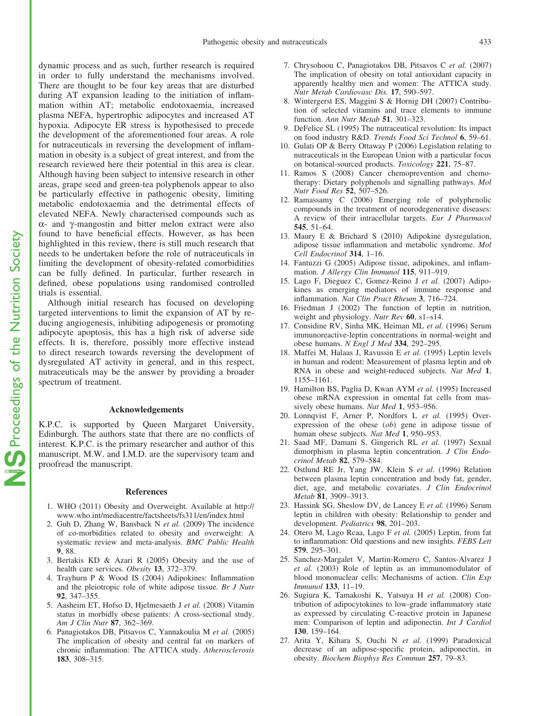dynamic process and as such, further research is required in order to fully understand the mechanisms involved. There are thought to be four key areas that are disturbed during AT expansion leading to the initiation of inflammation within AT; metabolic endotoxaemia, increased plasma NEFA, hypertrophic adipocytes and increased AT hypoxia. Adipocyte ER stress is hypothesised to precede the development of the aforementioned four areas. A role for nutraceuticals in reversing the development of inflammation in obesity is a subject of great interest, and from the research reviewed here their potential in this area is clear. Although having been subject to intensive research in other areas, grape seed and green-tea polyphenols appear to also be particularly effective in pathogenic obesity, limiting metabolic endotoxaemia and the detrimental effects of elevated NEFA. Newly characterised compounds such as  $\alpha$ - and  $\gamma$ -mangostin and bitter melon extract were also found to have beneficial effects. However, as has been highlighted in this review, there is still much research that needs to be undertaken before the role of nutraceuticals in limiting the development of obesity-related comorbidities can be fully defined. In particular, further research in defined, obese populations using randomised controlled trials is essential.

Although initial research has focused on developing targeted interventions to limit the expansion of AT by reducing angiogenesis, inhibiting adipogenesis or promoting adipocyte apoptosis, this has a high risk of adverse side effects. It is, therefore, possibly more effective instead to direct research towards reversing the development of dysregulated AT activity in general, and in this respect, nutraceuticals may be the answer by providing a broader spectrum of treatment.

### Acknowledgements

K.P.C. is supported by Queen Margaret University, Edinburgh. The authors state that there are no conflicts of interest. K.P.C. is the primary researcher and author of this manuscript. M.W. and I.M.D. are the supervisory team and proofread the manuscript.

### References

- 1. WHO (2011) Obesity and Overweight. Available at http:// www.who.int/mediacentre/factsheets/fs311/en/index.html
- 2. Guh D, Zhang W, Bansback N et al. (2009) The incidence of co-morbidities related to obesity and overweight: A systematic review and meta-analysis. BMC Public Health 9, 88.
- 3. Bertakis KD & Azari R (2005) Obesity and the use of health care services. Obesity 13, 372–379.
- 4. Trayhurn P & Wood IS (2004) Adipokines: Inflammation and the pleiotropic role of white adipose tissue. Br J Nutr 92, 347–355.
- 5. Aasheim ET, Hofso D, Hjelmesaeth J et al. (2008) Vitamin status in morbidly obese patients: A cross-sectional study. Am J Clin Nutr 87, 362–369.
- 6. Panagiotakos DB, Pitsavos C, Yannakoulia M et al. (2005) The implication of obesity and central fat on markers of chronic inflammation: The ATTICA study. Atherosclerosis 183, 308–315.
- 7. Chrysohoou C, Panagiotakos DB, Pitsavos C et al. (2007) The implication of obesity on total antioxidant capacity in apparently healthy men and women: The ATTICA study. Nutr Metab Cardiovasc Dis. 17, 590–597.
- 8. Wintergerst ES, Maggini S & Hornig DH (2007) Contribution of selected vitamins and trace elements to immune function. Ann Nutr Metab 51, 301-323.
- 9. DeFelice SL (1995) The nutraceutical revolution: Its impact on food industry R&D. Trends Food Sci Technol 6, 59–61.
- 10. Gulati OP & Berry Ottaway P (2006) Legislation relating to nutraceuticals in the European Union with a particular focus on botanical-sourced products. Toxicology 221, 75–87.
- 11. Ramos S (2008) Cancer chemoprevention and chemotherapy: Dietary polyphenols and signalling pathways. Mol Nutr Food Res 52, 507–526.
- 12. Ramassamy C (2006) Emerging role of polyphenolic compounds in the treatment of neurodegenerative diseases: A review of their intracellular targets. Eur J Pharmacol 545, 51–64.
- 13. Maury E & Brichard S (2010) Adipokine dysregulation, adipose tissue inflammation and metabolic syndrome. Mol Cell Endocrinol 314, 1–16.
- 14. Fantuzzi G (2005) Adipose tissue, adipokines, and inflammation. *J Allergy Clin Immunol* 115, 911–919.
- 15. Lago F, Dieguez C, Gomez-Reino J et al. (2007) Adipokines as emerging mediators of immune response and inflammation. Nat Clin Pract Rheum 3, 716–724.
- 16. Friedman J (2002) The function of leptin in nutrition, weight and physiology. Nutr Rev 60, s1-s14.
- 17. Considine RV, Sinha MK, Heiman ML et al. (1996) Serum immunoreactive-leptin concentrations in normal-weight and obese humans. N Engl J Med 334, 292–295.
- 18. Maffei M, Halaas J, Ravussin E et al. (1995) Leptin levels in human and rodent: Measurement of plasma leptin and ob RNA in obese and weight-reduced subjects. Nat Med 1, 1155–1161.
- 19. Hamilton BS, Paglia D, Kwan AYM et al. (1995) Increased obese mRNA expression in omental fat cells from massively obese humans. Nat Med 1, 953-956.
- 20. Lonnqvist F, Arner P, Nordfors L et al. (1995) Overexpression of the obese (ob) gene in adipose tissue of human obese subjects. Nat Med 1, 950-953.
- 21. Saad MF, Damani S, Gingerich RL et al. (1997) Sexual dimorphism in plasma leptin concentration. J Clin Endocrinol Metab 82, 579–584.
- 22. Ostlund RE Jr, Yang JW, Klein S et al. (1996) Relation between plasma leptin concentration and body fat, gender, diet, age, and metabolic covariates. J Clin Endocrinol Metab 81, 3909–3913.
- 23. Hassink SG, Sheslow DV, de Lancey E et al. (1996) Serum leptin in children with obesity: Relationship to gender and development. Pediatrics 98, 201–203.
- 24. Otero M, Lago Rcaa, Lago F et al. (2005) Leptin, from fat to inflammation: Old questions and new insights. FEBS Lett 579, 295–301.
- 25. Sanchez-Margalet V, Martin-Romero C, Santos-Alvarez J et al. (2003) Role of leptin as an immunomodulator of blood mononuclear cells: Mechanisms of action. Clin Exp Immunol 133, 11–19.
- 26. Sugiura K, Tamakoshi K, Yatsuya H et al. (2008) Contribution of adipocytokines to low-grade inflammatory state as expressed by circulating C-reactive protein in Japanese men: Comparison of leptin and adiponectin. Int J Cardiol 130, 159–164.
- 27. Arita Y, Kihara S, Ouchi N et al. (1999) Paradoxical decrease of an adipose-specific protein, adiponectin, in obesity. Biochem Biophys Res Commun 257, 79–83.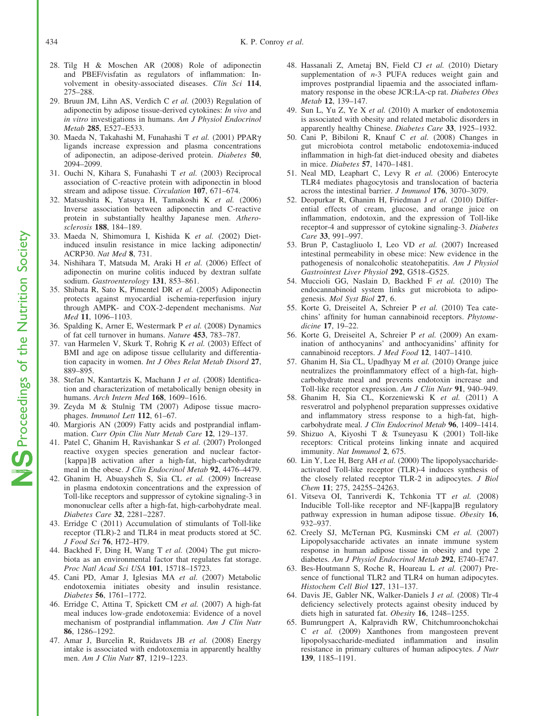- 28. Tilg H & Moschen AR (2008) Role of adiponectin and PBEF/visfatin as regulators of inflammation: Involvement in obesity-associated diseases. Clin Sci 114, 275–288.
- 29. Bruun JM, Lihn AS, Verdich C et al. (2003) Regulation of adiponectin by adipose tissue-derived cytokines: In vivo and in vitro investigations in humans. Am J Physiol Endocrinol Metab 285, E527–E533.
- 30. Maeda N, Takahashi M, Funahashi T et al. (2001) PPARg ligands increase expression and plasma concentrations of adiponectin, an adipose-derived protein. Diabetes 50, 2094–2099.
- 31. Ouchi N, Kihara S, Funahashi T et al. (2003) Reciprocal association of C-reactive protein with adiponectin in blood stream and adipose tissue. Circulation 107, 671–674.
- 32. Matsushita K, Yatsuya H, Tamakoshi K et al. (2006) Inverse association between adiponectin and C-reactive protein in substantially healthy Japanese men. Atherosclerosis 188, 184–189.
- 33. Maeda N, Shimomura I, Kishida K et al. (2002) Dietinduced insulin resistance in mice lacking adiponectin/ ACRP30. Nat Med 8, 731.
- 34. Nishihara T, Matsuda M, Araki H et al. (2006) Effect of adiponectin on murine colitis induced by dextran sulfate sodium. Gastroenterology 131, 853-861.
- 35. Shibata R, Sato K, Pimentel DR et al. (2005) Adiponectin protects against myocardial ischemia-reperfusion injury through AMPK- and COX-2-dependent mechanisms. Nat Med 11, 1096-1103.
- 36. Spalding K, Arner E, Westermark P et al. (2008) Dynamics of fat cell turnover in humans. Nature 453, 783–787.
- 37. van Harmelen V, Skurk T, Rohrig K et al. (2003) Effect of BMI and age on adipose tissue cellularity and differentiation capacity in women. Int J Obes Relat Metab Disord 27, 889–895.
- 38. Stefan N, Kantartzis K, Machann J et al. (2008) Identification and characterization of metabolically benign obesity in humans. Arch Intern Med 168, 1609–1616.
- 39. Zeyda M & Stulnig TM (2007) Adipose tissue macrophages. Immunol Lett 112, 61-67.
- 40. Margioris AN (2009) Fatty acids and postprandial inflammation. Curr Opin Clin Nutr Metab Care 12, 129–137.
- 41. Patel C, Ghanim H, Ravishankar S et al. (2007) Prolonged reactive oxygen species generation and nuclear factor- {kappa}B activation after a high-fat, high-carbohydrate meal in the obese. J Clin Endocrinol Metab 92, 4476–4479.
- 42. Ghanim H, Abuaysheh S, Sia CL et al. (2009) Increase in plasma endotoxin concentrations and the expression of Toll-like receptors and suppressor of cytokine signaling-3 in mononuclear cells after a high-fat, high-carbohydrate meal. Diabetes Care 32, 2281–2287.
- 43. Erridge C (2011) Accumulation of stimulants of Toll-like receptor (TLR)-2 and TLR4 in meat products stored at 5C. J Food Sci 76, H72–H79.
- 44. Backhed F, Ding H, Wang T et al. (2004) The gut microbiota as an environmental factor that regulates fat storage. Proc Natl Acad Sci USA 101, 15718–15723.
- 45. Cani PD, Amar J, Iglesias MA et al. (2007) Metabolic endotoxemia initiates obesity and insulin resistance. Diabetes 56, 1761–1772.
- 46. Erridge C, Attina T, Spickett CM et al. (2007) A high-fat meal induces low-grade endotoxemia: Evidence of a novel mechanism of postprandial inflammation. Am J Clin Nutr 86, 1286–1292.
- 47. Amar J, Burcelin R, Ruidavets JB et al. (2008) Energy intake is associated with endotoxemia in apparently healthy men. Am J Clin Nutr 87, 1219–1223.
- 48. Hassanali Z, Ametaj BN, Field CJ et al. (2010) Dietary supplementation of  $n-3$  PUFA reduces weight gain and improves postprandial lipaemia and the associated inflammatory response in the obese JCR:LA-cp rat. Diabetes Obes Metab 12, 139–147.
- 49. Sun L, Yu Z, Ye X et al. (2010) A marker of endotoxemia is associated with obesity and related metabolic disorders in apparently healthy Chinese. Diabetes Care 33, 1925–1932.
- 50. Cani P, Bibiloni R, Knauf C et al. (2008) Changes in gut microbiota control metabolic endotoxemia-induced inflammation in high-fat diet-induced obesity and diabetes in mice. Diabetes 57, 1470–1481.
- 51. Neal MD, Leaphart C, Levy R et al. (2006) Enterocyte TLR4 mediates phagocytosis and translocation of bacteria across the intestinal barrier. J Immunol 176, 3070–3079.
- 52. Deopurkar R, Ghanim H, Friedman J et al. (2010) Differential effects of cream, glucose, and orange juice on inflammation, endotoxin, and the expression of Toll-like receptor-4 and suppressor of cytokine signaling-3. Diabetes Care 33, 991–997.
- 53. Brun P, Castagliuolo I, Leo VD et al. (2007) Increased intestinal permeability in obese mice: New evidence in the pathogenesis of nonalcoholic steatohepatitis. Am J Physiol Gastrointest Liver Physiol 292, G518–G525.
- 54. Muccioli GG, Naslain D, Backhed F et al. (2010) The endocannabinoid system links gut microbiota to adipogenesis. Mol Syst Biol 27, 6.
- 55. Korte G, Dreiseitel A, Schreier P et al. (2010) Tea catechins' affinity for human cannabinoid receptors. Phytomedicine 17, 19–22.
- 56. Korte G, Dreiseitel A, Schreier P et al. (2009) An examination of anthocyanins' and anthocyanidins' affinity for cannabinoid receptors. J Med Food 12, 1407–1410.
- 57. Ghanim H, Sia CL, Upadhyay M et al. (2010) Orange juice neutralizes the proinflammatory effect of a high-fat, highcarbohydrate meal and prevents endotoxin increase and Toll-like receptor expression. Am J Clin Nutr 91, 940–949.
- 58. Ghanim H, Sia CL, Korzeniewski K et al. (2011) A resveratrol and polyphenol preparation suppresses oxidative and inflammatory stress response to a high-fat, highcarbohydrate meal. J Clin Endocrinol Metab 96, 1409–1414.
- 59. Shizuo A, Kiyoshi T & Tsuneyasu K (2001) Toll-like receptors: Critical proteins linking innate and acquired immunity. Nat Immunol 2, 675.
- 60. Lin Y, Lee H, Berg AH et al. (2000) The lipopolysaccharideactivated Toll-like receptor (TLR)-4 induces synthesis of the closely related receptor TLR-2 in adipocytes. J Biol Chem 11; 275, 24255–24263.
- 61. Vitseva OI, Tanriverdi K, Tchkonia TT et al. (2008) Inducible Toll-like receptor and NF-[kappa]B regulatory pathway expression in human adipose tissue. Obesity 16, 932–937.
- 62. Creely SJ, McTernan PG, Kusminski CM et al. (2007) Lipopolysaccharide activates an innate immune system response in human adipose tissue in obesity and type 2 diabetes. Am J Physiol Endocrinol Metab 292, E740–E747.
- 63. Bes-Houtmann S, Roche R, Hoareau L et al. (2007) Presence of functional TLR2 and TLR4 on human adipocytes. Histochem Cell Biol 127, 131–137.
- 64. Davis JE, Gabler NK, Walker-Daniels J et al. (2008) Tlr-4 deficiency selectively protects against obesity induced by diets high in saturated fat. Obesity 16, 1248–1255.
- 65. Bumrungpert A, Kalpravidh RW, Chitchumroonchokchai C et al. (2009) Xanthones from mangosteen prevent lipopolysaccharide-mediated inflammation and insulin resistance in primary cultures of human adipocytes. J Nutr 139, 1185–1191.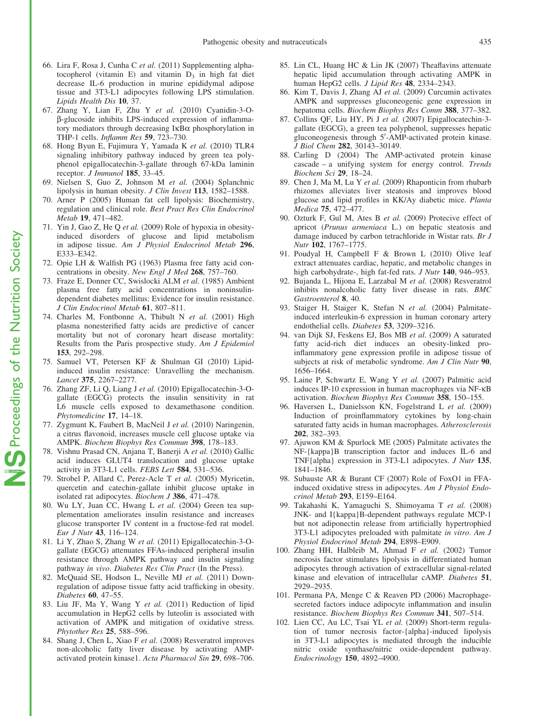- 66. Lira F, Rosa J, Cunha C et al. (2011) Supplementing alphatocopherol (vitamin E) and vitamin  $D_3$  in high fat diet decrease IL-6 production in murine epididymal adipose tissue and 3T3-L1 adipocytes following LPS stimulation. Lipids Health Dis 10, 37.
- 67. Zhang Y, Lian F, Zhu Y et al. (2010) Cyanidin-3-Ob-glucoside inhibits LPS-induced expression of inflammatory mediators through decreasing  $I \kappa B\alpha$  phosphorylation in THP-1 cells. Inflamm Res 59, 723–730.
- 68. Hong Byun E, Fujimura Y, Yamada K et al. (2010) TLR4 signaling inhibitory pathway induced by green tea polyphenol epigallocatechin-3-gallate through 67-kDa laminin receptor. J Immunol 185, 33–45.
- 69. Nielsen S, Guo Z, Johnson M et al. (2004) Splanchnic lipolysis in human obesity. J Clin Invest 113, 1582–1588.
- 70. Arner P (2005) Human fat cell lipolysis: Biochemistry, regulation and clinical role. Best Pract Res Clin Endocrinol Metab 19, 471–482.
- 71. Yin J, Gao Z, He Q et al. (2009) Role of hypoxia in obesityinduced disorders of glucose and lipid metabolism in adipose tissue. Am J Physiol Endocrinol Metab 296, E333–E342.
- 72. Opie LH & Walfish PG (1963) Plasma free fatty acid concentrations in obesity. New Engl J Med 268, 757–760.
- 73. Fraze E, Donner CC, Swislocki ALM et al. (1985) Ambient plasma free fatty acid concentrations in noninsulindependent diabetes mellitus: Evidence for insulin resistance. J Clin Endocrinol Metab 61, 807–811.
- 74. Charles M, Fontbonne A, Thibult N et al. (2001) High plasma nonesterified fatty acids are predictive of cancer mortality but not of coronary heart disease mortality: Results from the Paris prospective study. Am J Epidemiol 153, 292–298.
- 75. Samuel VT, Petersen KF & Shulman GI (2010) Lipidinduced insulin resistance: Unravelling the mechanism. Lancet 375, 2267–2277.
- 76. Zhang ZF, Li Q, Liang J et al. (2010) Epigallocatechin-3-Ogallate (EGCG) protects the insulin sensitivity in rat L6 muscle cells exposed to dexamethasone condition. Phytomedicine 17, 14–18.
- 77. Zygmunt K, Faubert B, MacNeil J et al. (2010) Naringenin, a citrus flavonoid, increases muscle cell glucose uptake via AMPK. Biochem Biophys Res Commun 398, 178–183.
- 78. Vishnu Prasad CN, Anjana T, Banerji A et al. (2010) Gallic acid induces GLUT4 translocation and glucose uptake activity in 3T3-L1 cells. FEBS Lett 584, 531–536.
- 79. Strobel P, Allard C, Perez-Acle T et al. (2005) Myricetin, quercetin and catechin-gallate inhibit glucose uptake in isolated rat adipocytes. Biochem J 386, 471–478.
- 80. Wu LY, Juan CC, Hwang L et al. (2004) Green tea supplementation ameliorates insulin resistance and increases glucose transporter IV content in a fructose-fed rat model. Eur J Nutr 43, 116–124.
- 81. Li Y, Zhao S, Zhang W et al. (2011) Epigallocatechin-3-Ogallate (EGCG) attenuates FFAs-induced peripheral insulin resistance through AMPK pathway and insulin signaling pathway in vivo. Diabetes Res Clin Pract (In the Press).
- 82. McQuaid SE, Hodson L, Neville MJ et al. (2011) Downregulation of adipose tissue fatty acid trafficking in obesity. Diabetes 60, 47–55.
- 83. Liu JF, Ma Y, Wang Y et al. (2011) Reduction of lipid accumulation in HepG2 cells by luteolin is associated with activation of AMPK and mitigation of oxidative stress. Phytother Res 25, 588–596.
- 84. Shang J, Chen L, Xiao F et al. (2008) Resveratrol improves non-alcoholic fatty liver disease by activating AMPactivated protein kinase1. Acta Pharmacol Sin 29, 698–706.
- 85. Lin CL, Huang HC & Lin JK (2007) Theaflavins attenuate hepatic lipid accumulation through activating AMPK in human HepG2 cells. J Lipid Res 48, 2334-2343.
- 86. Kim T, Davis J, Zhang AJ et al. (2009) Curcumin activates AMPK and suppresses gluconeogenic gene expression in hepatoma cells. Biochem Biophys Res Comm 388, 377–382.
- 87. Collins QF, Liu HY, Pi J et al. (2007) Epigallocatechin-3 gallate (EGCG), a green tea polyphenol, suppresses hepatic gluconeogenesis through 5'-AMP-activated protein kinase. J Biol Chem 282, 30143–30149.
- 88. Carling D (2004) The AMP-activated protein kinase cascade – a unifying system for energy control. Trends Biochem Sci 29, 18–24.
- 89. Chen J, Ma M, Lu Y et al. (2009) Rhaponticin from rhubarb rhizomes alleviates liver steatosis and improves blood glucose and lipid profiles in KK/Ay diabetic mice. Planta Medica 75, 472–477.
- 90. Ozturk F, Gul M, Ates B et al. (2009) Protecive effect of apricot (Prunus armeniaca L.) on hepatic steatosis and damage induced by carbon tetrachloride in Wistar rats. Br J Nutr 102, 1767–1775.
- 91. Poudyal H, Campbell F & Brown L (2010) Olive leaf extract attenuates cardiac, hepatic, and metabolic changes in high carbohydrate-, high fat-fed rats. *J Nutr* **140**, 946–953.
- 92. Bujanda L, Hijona E, Larzabal M et al. (2008) Resveratrol inhibits nonalcoholic fatty liver disease in rats. BMC Gastroenterol 8, 40.
- 93. Staiger H, Staiger K, Stefan N et al. (2004) Palmitateinduced interleukin-6 expression in human coronary artery endothelial cells. Diabetes 53, 3209–3216.
- 94. van Dijk SJ, Feskens EJ, Bos MB et al. (2009) A saturated fatty acid-rich diet induces an obesity-linked proinflammatory gene expression profile in adipose tissue of subjects at risk of metabolic syndrome. Am J Clin Nutr 90, 1656–1664.
- 95. Laine P, Schwartz E, Wang Y et al. (2007) Palmitic acid induces IP-10 expression in human macrophages via NF-kB activation. Biochem Biophys Res Commun 358, 150–155.
- 96. Haversen L, Danielsson KN, Fogelstrand L et al. (2009) Induction of proinflammatory cytokines by long-chain saturated fatty acids in human macrophages. Atherosclerosis 202, 382–393.
- 97. Ajuwon KM & Spurlock ME (2005) Palmitate activates the NF-{kappa}B transcription factor and induces IL-6 and TNF{alpha} expression in 3T3-L1 adipocytes. J Nutr 135, 1841–1846.
- 98. Subauste AR & Burant CF (2007) Role of FoxO1 in FFAinduced oxidative stress in adipocytes. Am J Physiol Endocrinol Metab 293, E159–E164.
- 99. Takahashi K, Yamaguchi S, Shimoyama T et al. (2008) JNK- and I{kappa}B-dependent pathways regulate MCP-1 but not adiponectin release from artificially hypertrophied 3T3-L1 adipocytes preloaded with palmitate in vitro. Am J Physiol Endocrinol Metab 294, E898–E909.
- 100. Zhang HH, Halbleib M, Ahmad F et al. (2002) Tumor necrosis factor stimulates lipolysis in differentiated human adipocytes through activation of extracellular signal-related kinase and elevation of intracellular cAMP. Diabetes 51, 2929–2935.
- 101. Permana PA, Menge C & Reaven PD (2006) Macrophagesecreted factors induce adipocyte inflammation and insulin resistance. Biochem Biophys Res Commun 341, 507–514.
- 102. Lien CC, Au LC, Tsai YL et al. (2009) Short-term regulation of tumor necrosis factor-{alpha}-induced lipolysis in 3T3-L1 adipocytes is mediated through the inducible nitric oxide synthase/nitric oxide-dependent pathway. Endocrinology 150, 4892–4900.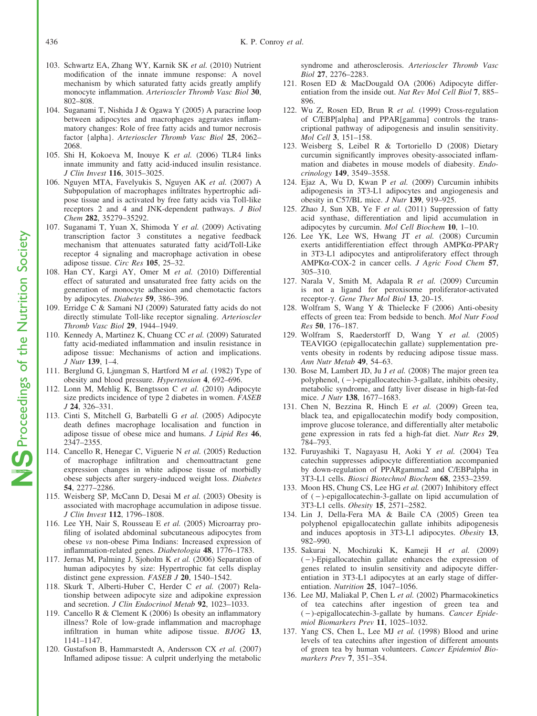- 436 K. P. Conroy et al.
- 103. Schwartz EA, Zhang WY, Karnik SK et al. (2010) Nutrient modification of the innate immune response: A novel mechanism by which saturated fatty acids greatly amplify monocyte inflammation. Arterioscler Thromb Vasc Biol 30, 802–808.
- 104. Suganami T, Nishida J & Ogawa Y (2005) A paracrine loop between adipocytes and macrophages aggravates inflammatory changes: Role of free fatty acids and tumor necrosis factor {alpha}. Arterioscler Thromb Vasc Biol 25, 2062– 2068.
- 105. Shi H, Kokoeva M, Inouye K et al. (2006) TLR4 links innate immunity and fatty acid-induced insulin resistance. J Clin Invest 116, 3015–3025.
- 106. Nguyen MTA, Favelyukis S, Nguyen AK et al. (2007) A Subpopulation of macrophages infiltrates hypertrophic adipose tissue and is activated by free fatty acids via Toll-like receptors 2 and 4 and JNK-dependent pathways. J Biol Chem 282, 35279–35292.
- 107. Suganami T, Yuan X, Shimoda Y et al. (2009) Activating transcription factor 3 constitutes a negative feedback mechanism that attenuates saturated fatty acid/Toll-Like receptor 4 signaling and macrophage activation in obese adipose tissue. Circ Res 105, 25–32.
- 108. Han CY, Kargi AY, Omer M et al. (2010) Differential effect of saturated and unsaturated free fatty acids on the generation of monocyte adhesion and chemotactic factors by adipocytes. Diabetes 59, 386–396.
- 109. Erridge C & Samani NJ (2009) Saturated fatty acids do not directly stimulate Toll-like receptor signaling. Arterioscler Thromb Vasc Biol 29, 1944–1949.
- 110. Kennedy A, Martinez K, Chuang CC et al. (2009) Saturated fatty acid-mediated inflammation and insulin resistance in adipose tissue: Mechanisms of action and implications. J Nutr 139, 1–4.
- 111. Berglund G, Ljungman S, Hartford M et al. (1982) Type of obesity and blood pressure. Hypertension 4, 692–696.
- 112. Lonn M, Mehlig K, Bengtsson C et al. (2010) Adipocyte size predicts incidence of type 2 diabetes in women. FASEB J 24, 326–331.
- 113. Cinti S, Mitchell G, Barbatelli G et al. (2005) Adipocyte death defines macrophage localisation and function in adipose tissue of obese mice and humans. J Lipid Res 46, 2347–2355.
- 114. Cancello R, Henegar C, Viguerie N et al. (2005) Reduction of macrophage infiltration and chemoattractant gene expression changes in white adipose tissue of morbidly obese subjects after surgery-induced weight loss. Diabetes 54, 2277–2286.
- 115. Weisberg SP, McCann D, Desai M et al. (2003) Obesity is associated with macrophage accumulation in adipose tissue. J Clin Invest 112, 1796–1808.
- 116. Lee YH, Nair S, Rousseau E et al. (2005) Microarray profiling of isolated abdominal subcutaneous adipocytes from obese vs non-obese Pima Indians: Increased expression of inflammation-related genes. Diabetologia 48, 1776–1783.
- 117. Jernas M, Palming J, Sjoholm K et al. (2006) Separation of human adipocytes by size: Hypertrophic fat cells display distinct gene expression. FASEB J 20, 1540–1542.
- 118. Skurk T, Alberti-Huber C, Herder C et al. (2007) Relationship between adipocyte size and adipokine expression and secretion. J Clin Endocrinol Metab 92, 1023–1033.
- 119. Cancello R & Clement K (2006) Is obesity an inflammatory illness? Role of low-grade inflammation and macrophage infiltration in human white adipose tissue. BJOG 13, 1141–1147.
- 120. Gustafson B, Hammarstedt A, Andersson CX et al. (2007) Inflamed adipose tissue: A culprit underlying the metabolic

syndrome and atherosclerosis. Arterioscler Thromb Vasc Biol 27, 2276–2283.

- 121. Rosen ED & MacDougald OA (2006) Adipocyte differentiation from the inside out. Nat Rev Mol Cell Biol 7, 885– 896.
- 122. Wu Z, Rosen ED, Brun R et al. (1999) Cross-regulation of C/EBP[alpha] and PPAR[gamma] controls the transcriptional pathway of adipogenesis and insulin sensitivity. Mol Cell 3, 151–158.
- 123. Weisberg S, Leibel R & Tortoriello D (2008) Dietary curcumin significantly improves obesity-associated inflammation and diabetes in mouse models of diabesity. Endocrinology 149, 3549–3558.
- 124. Ejaz A, Wu D, Kwan P et al. (2009) Curcumin inhibits adipogenesis in 3T3-L1 adipocytes and angiogenesis and obesity in C57/BL mice. J Nutr 139, 919–925.
- 125. Zhao J, Sun XB, Ye F et al. (2011) Suppression of fatty acid synthase, differentiation and lipid accumulation in adipocytes by curcumin. Mol Cell Biochem 10, 1–10.
- 126. Lee YK, Lee WS, Hwang JT et al. (2008) Curcumin exerts antidifferentiation effect through AMPKa-PPARg in 3T3-L1 adipocytes and antiproliferatory effect through AMPKa-COX-2 in cancer cells. J Agric Food Chem 57, 305–310.
- 127. Narala V, Smith M, Adapala R et al. (2009) Curcumin is not a ligand for peroxisome proliferator-activated receptor-g. Gene Ther Mol Biol 13, 20–15.
- 128. Wolfram S, Wang Y & Thielecke F (2006) Anti-obesity effects of green tea: From bedside to bench. Mol Nutr Food Res 50, 176–187.
- 129. Wolfram S, Raederstorff D, Wang Y et al. (2005) TEAVIGO (epigallocatechin gallate) supplementation prevents obesity in rodents by reducing adipose tissue mass. Ann Nutr Metab 49, 54–63.
- 130. Bose M, Lambert JD, Ju J et al. (2008) The major green tea polyphenol, ( - )-epigallocatechin-3-gallate, inhibits obesity, metabolic syndrome, and fatty liver disease in high-fat-fed mice. J Nutr 138, 1677–1683.
- 131. Chen N, Bezzina R, Hinch E et al. (2009) Green tea, black tea, and epigallocatechin modify body composition, improve glucose tolerance, and differentially alter metabolic gene expression in rats fed a high-fat diet. Nutr Res 29, 784–793.
- 132. Furuyashiki T, Nagayasu H, Aoki Y et al. (2004) Tea catechin suppresses adipocyte differentiation accompanied by down-regulation of PPARgamma2 and C/EBPalpha in 3T3-L1 cells. Biosci Biotechnol Biochem 68, 2353–2359.
- 133. Moon HS, Chung CS, Lee HG et al. (2007) Inhibitory effect of ( - )-epigallocatechin-3-gallate on lipid accumulation of 3T3-L1 cells. Obesity 15, 2571–2582.
- 134. Lin J, Della-Fera MA & Baile CA (2005) Green tea polyphenol epigallocatechin gallate inhibits adipogenesis and induces apoptosis in 3T3-L1 adipocytes. Obesity 13, 982–990.
- 135. Sakurai N, Mochizuki K, Kameji H et al. (2009)  $(-)$ -Epigallocatechin gallate enhances the expression of genes related to insulin sensitivity and adipocyte differentiation in 3T3-L1 adipocytes at an early stage of differentiation. Nutrition 25, 1047–1056.
- 136. Lee MJ, Maliakal P, Chen L et al. (2002) Pharmacokinetics of tea catechins after ingestion of green tea and ( - )-epigallocatechin-3-gallate by humans. Cancer Epidemiol Biomarkers Prev 11, 1025–1032.
- 137. Yang CS, Chen L, Lee MJ et al. (1998) Blood and urine levels of tea catechins after ingestion of different amounts of green tea by human volunteers. Cancer Epidemiol Biomarkers Prev 7, 351–354.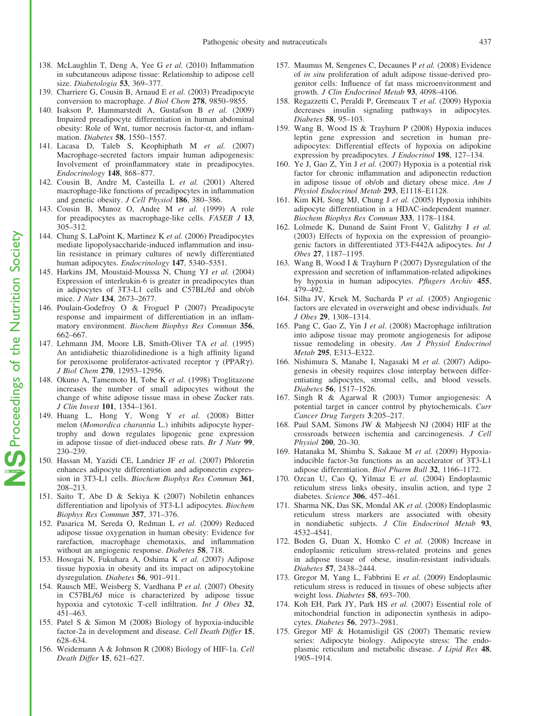- 138. McLaughlin T, Deng A, Yee G et al. (2010) Inflammation in subcutaneous adipose tissue: Relationship to adipose cell size. Diabetologia 53, 369-377.
- 139. Charriere G, Cousin B, Arnaud E et al. (2003) Preadipocyte conversion to macrophage. J Biol Chem 278, 9850–9855.
- 140. Isakson P, Hammarstedt A, Gustafson B et al. (2009) Impaired preadipocyte differentiation in human abdominal obesity: Role of Wnt, tumor necrosis factor- $\alpha$ , and inflammation. Diabetes 58, 1550–1557.
- 141. Lacasa D, Taleb S, Keophiphath M et al. (2007) Macrophage-secreted factors impair human adipogenesis: Involvement of proinflammatory state in preadipocytes. Endocrinology 148, 868–877.
- 142. Cousin B, Andre M, Casteilla L et al. (2001) Altered macrophage-like functions of preadipocytes in inflammation and genetic obesity. J Cell Physiol 186, 380–386.
- 143. Cousin B, Munoz O, Andre M et al. (1999) A role for preadipocytes as macrophage-like cells. FASEB J 13, 305–312.
- 144. Chung S, LaPoint K, Martinez K et al. (2006) Preadipocytes mediate lipopolysaccharide-induced inflammation and insulin resistance in primary cultures of newly differentiated human adipocytes. Endocrinology 147, 5340–5351.
- 145. Harkins JM, Moustaid-Moussa N, Chung YJ et al. (2004) Expression of interleukin-6 is greater in preadipocytes than in adipocytes of 3T3-L1 cells and C57BL/6J and ob/ob mice. J Nutr 134, 2673–2677.
- 146. Poulain-Godefroy O & Froguel P (2007) Preadipocyte response and impairment of differentiation in an inflammatory environment. Biochem Biophys Res Commun 356, 662–667.
- 147. Lehmann JM, Moore LB, Smith-Oliver TA et al. (1995) An antidiabetic thiazolidinedione is a high affinity ligand for peroxisome proliferator-activated receptor  $\gamma$  (PPAR $\gamma$ ). J Biol Chem 270, 12953–12956.
- 148. Okuno A, Tamemoto H, Tobe K et al. (1998) Troglitazone increases the number of small adipocytes without the change of white adipose tissue mass in obese Zucker rats. J Clin Invest 101, 1354–1361.
- 149. Huang L, Hong Y, Wong Y et al. (2008) Bitter melon (Momordica charantia L.) inhibits adipocyte hypertrophy and down regulates lipogenic gene expression in adipose tissue of diet-induced obese rats. Br J Nutr 99, 230–239.
- 150. Hassan M, Yazidi CE, Landrier JF et al. (2007) Phloretin enhances adipocyte differentiation and adiponectin expression in 3T3-L1 cells. Biochem Biophys Res Commun 361, 208–213.
- 151. Saito T, Abe D & Sekiya K (2007) Nobiletin enhances differentiation and lipolysis of 3T3-L1 adipocytes. Biochem Biophys Res Commun 357, 371–376.
- 152. Pasarica M, Sereda O, Redman L et al. (2009) Reduced adipose tissue oxygenation in human obesity: Evidence for rarefaction, macrophage chemotaxis, and inflammation without an angiogenic response. Diabetes 58, 718.
- 153. Hosogai N, Fukuhara A, Oshima K et al. (2007) Adipose tissue hypoxia in obesity and its impact on adipocytokine dysregulation. Diabetes 56, 901–911.
- 154. Rausch ME, Weisberg S, Vardhana P et al. (2007) Obesity in C57BL/6J mice is characterized by adipose tissue hypoxia and cytotoxic T-cell infiltration. Int J Obes 32, 451–463.
- 155. Patel S & Simon M (2008) Biology of hypoxia-inducible factor-2a in development and disease. Cell Death Differ 15, 628–634.
- 156. Weidemann A & Johnson R (2008) Biology of HIF-1a. Cell Death Differ 15, 621–627.
- 157. Maumus M, Sengenes C, Decaunes P et al. (2008) Evidence of in situ proliferation of adult adipose tissue-derived progenitor cells: Influence of fat mass microenvironment and growth. J Clin Endocrinol Metab 93, 4098–4106.
- 158. Regazzetti C, Peraldi P, Gremeaux T et al. (2009) Hypoxia decreases insulin signaling pathways in adipocytes. Diabetes 58, 95–103.
- 159. Wang B, Wood IS & Trayhurn P (2008) Hypoxia induces leptin gene expression and secretion in human preadipocytes: Differential effects of hypoxia on adipokine expression by preadipocytes. J Endocrinol 198, 127–134.
- 160. Ye J, Gao Z, Yin J et al. (2007) Hypoxia is a potential risk factor for chronic inflammation and adiponectin reduction in adipose tissue of ob/ob and dietary obese mice. Am J Physiol Endocrinol Metab 293, E1118–E1128.
- 161. Kim KH, Song MJ, Chung J et al. (2005) Hypoxia inhibits adipocyte differentiation in a HDAC-independent manner. Biochem Biophys Res Commun 333, 1178–1184.
- 162. Lolmede K, Dunand de Saint Front V, Galitzhy J et al. (2003) Effects of hypoxia on the expression of proangiogenic factors in differentiated 3T3-F442A adipocytes. Int J Obes 27, 1187–1195.
- 163. Wang B, Wood I & Trayhurn P (2007) Dysregulation of the expression and secretion of inflammation-related adipokines by hypoxia in human adipocytes. Pflugers Archiv 455, 479–492.
- 164. Silha JV, Krsek M, Sucharda P et al. (2005) Angiogenic factors are elevated in overweight and obese individuals. Int J Obes 29, 1308–1314.
- 165. Pang C, Gao Z, Yin J et al. (2008) Macrophage infiltration into adipose tissue may promote angiogenesis for adipose tissue remodeling in obesity. Am J Physiol Endocrinol Metab 295, E313–E322.
- 166. Nishimura S, Manabe I, Nagasaki M et al. (2007) Adipogenesis in obesity requires close interplay between differentiating adipocytes, stromal cells, and blood vessels. Diabetes 56, 1517–1526.
- 167. Singh R & Agarwal R (2003) Tumor angiogenesis: A potential target in cancer control by phytochemicals. Curr Cancer Drug Targets 3:205–217.
- 168. Paul SAM, Simons JW & Mabjeesh NJ (2004) HIF at the crossroads between ischemia and carcinogenesis. J Cell Physiol 200, 20–30.
- 169. Hatanaka M, Shimba S, Sakaue M et al. (2009) Hypoxiainducible factor-3 $\alpha$  functions as an accelerator of 3T3-L1 adipose differentiation. Biol Pharm Bull 32, 1166–1172.
- 170. Ozcan U, Cao Q, Yilmaz E et al. (2004) Endoplasmic reticulum stress links obesity, insulin action, and type 2 diabetes. Science 306, 457–461.
- 171. Sharma NK, Das SK, Mondal AK et al. (2008) Endoplasmic reticulum stress markers are associated with obesity in nondiabetic subjects. J Clin Endocrinol Metab 93, 4532–4541.
- 172. Boden G, Duan X, Homko C et al. (2008) Increase in endoplasmic reticulum stress-related proteins and genes in adipose tissue of obese, insulin-resistant individuals. Diabetes 57, 2438–2444.
- 173. Gregor M, Yang L, Fabbrini E et al. (2009) Endoplasmic reticulum stress is reduced in tissues of obese subjects after weight loss. Diabetes **58**, 693-700.
- 174. Koh EH, Park JY, Park HS et al. (2007) Essential role of mitochondrial function in adiponectin synthesis in adipocytes. Diabetes 56, 2973–2981.
- 175. Gregor MF & Hotamisligil GS (2007) Thematic review series: Adipocyte biology. Adipocyte stress: The endoplasmic reticulum and metabolic disease. J Lipid Res 48, 1905–1914.